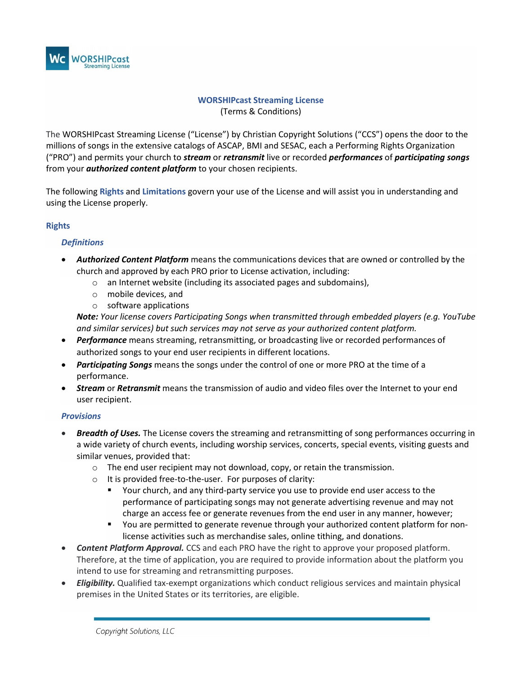

# **WORSHIPcast Streaming License** (Terms & Conditions)

The WORSHIPcast Streaming License ("License") by Christian Copyright Solutions ("CCS") opens the door to the millions of songs in the extensive catalogs of ASCAP, BMI and SESAC, each a Performing Rights Organization ("PRO") and permits your church to *stream* or *retransmit* live or recorded *performances* of *participating songs* from your *authorized content platform* to your chosen recipients.

The following **Rights** and **Limitations** govern your use of the License and will assist you in understanding and using the License properly.

## **Rights**

### *Definitions*

- *Authorized Content Platform* means the communications devices that are owned or controlled by the church and approved by each PRO prior to License activation, including:
	- $\circ$  an Internet website (including its associated pages and subdomains),
	- o mobile devices, and
	- o software applications

*Note: Your license covers Participating Songs when transmitted through embedded players (e.g. YouTube and similar services) but such services may not serve as your authorized content platform.*

- *Performance* means streaming, retransmitting, or broadcasting live or recorded performances of authorized songs to your end user recipients in different locations.
- *Participating Songs* means the songs under the control of one or more PRO at the time of a performance.
- *Stream* or *Retransmit* means the transmission of audio and video files over the Internet to your end user recipient.

### *Provisions*

- *Breadth of Uses.* The License covers the streaming and retransmitting of song performances occurring in a wide variety of church events, including worship services, concerts, special events, visiting guests and similar venues, provided that:
	- $\circ$  The end user recipient may not download, copy, or retain the transmission.
	- $\circ$  It is provided free-to-the-user. For purposes of clarity:
		- Your church, and any third-party service you use to provide end user access to the performance of participating songs may not generate advertising revenue and may not charge an access fee or generate revenues from the end user in any manner, however;
		- **The Step 2** You are permitted to generate revenue through your authorized content platform for nonlicense activities such as merchandise sales, online tithing, and donations.
- *Content Platform Approval.* CCS and each PRO have the right to approve your proposed platform. Therefore, at the time of application, you are required to provide information about the platform you intend to use for streaming and retransmitting purposes.
- *Eligibility.* Qualified tax-exempt organizations which conduct religious services and maintain physical premises in the United States or its territories, are eligible.